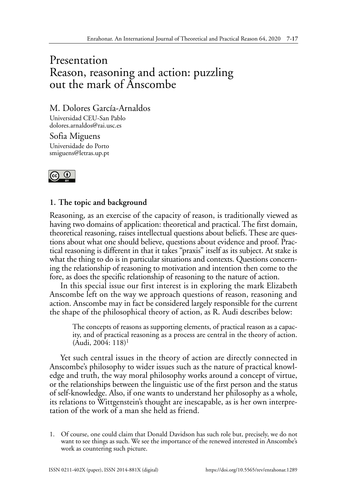## Presentation Reason, reasoning and action: puzzling out the mark of Anscombe

M. Dolores García-Arnaldos

Universidad CEU-San Pablo dolores.arnaldos@rai.usc.es

Sofia Miguens Universidade do Porto smiguens@letras.up.pt



## **1. The topic and background**

Reasoning, as an exercise of the capacity of reason, is traditionally viewed as having two domains of application: theoretical and practical. The first domain, theoretical reasoning, raises intellectual questions about beliefs. These are questions about what one should believe, questions about evidence and proof. Practical reasoning is different in that it takes "praxis" itself as its subject. At stake is what the thing to do is in particular situations and contexts. Questions concerning the relationship of reasoning to motivation and intention then come to the fore, as does the specific relationship of reasoning to the nature of action.

In this special issue our first interest is in exploring the mark Elizabeth Anscombe left on the way we approach questions of reason, reasoning and action. Anscombe may in fact be considered largely responsible for the current the shape of the philosophical theory of action, as R. Audi describes below:

The concepts of reasons as supporting elements, of practical reason as a capacity, and of practical reasoning as a process are central in the theory of action.  $(Audi, 2004: 118)^1$ 

Yet such central issues in the theory of action are directly connected in Anscombe's philosophy to wider issues such as the nature of practical knowledge and truth, the way moral philosophy works around a concept of virtue, or the relationships between the linguistic use of the first person and the status of self-knowledge. Also, if one wants to understand her philosophy as a whole, its relations to Wittgenstein's thought are inescapable, as is her own interpretation of the work of a man she held as friend.

1. Of course, one could claim that Donald Davidson has such role but, precisely, we do not want to see things as such. We see the importance of the renewed interested in Anscombe's work as countering such picture.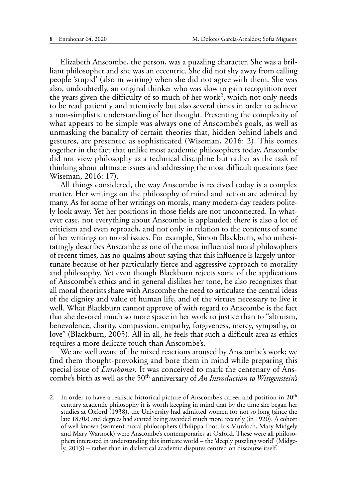Elizabeth Anscombe, the person, was a puzzling character. She was a brilliant philosopher and she was an eccentric. She did not shy away from calling people 'stupid' (also in writing) when she did not agree with them. She was also, undoubtedly, an original thinker who was slow to gain recognition over the years given the difficulty of so much of her work2, which not only needs to be read patiently and attentively but also several times in order to achieve a non-simplistic understanding of her thought. Presenting the complexity of what appears to be simple was always one of Anscombe's goals, as well as unmasking the banality of certain theories that, hidden behind labels and gestures, are presented as sophisticated (Wiseman, 2016: 2). This comes together in the fact that unlike most academic philosophers today, Anscombe did not view philosophy as a technical discipline but rather as the task of thinking about ultimate issues and addressing the most difficult questions (see Wiseman, 2016: 17).

All things considered, the way Anscombe is received today is a complex matter. Her writings on the philosophy of mind and action are admired by many. As for some of her writings on morals, many modern-day readers politely look away. Yet her positions in those fields are not unconnected. In whatever case, not everything about Anscombe is applauded: there is also a lot of criticism and even reproach, and not only in relation to the contents of some of her writings on moral issues. For example, Simon Blackburn, who unhesitatingly describes Anscombe as one of the most influential moral philosophers of recent times, has no qualms about saying that this influence is largely unfortunate because of her particularly fierce and aggressive approach to morality and philosophy. Yet even though Blackburn rejects some of the applications of Anscombe's ethics and in general dislikes her tone, he also recognizes that all moral theorists share with Anscombe the need to articulate the central ideas of the dignity and value of human life, and of the virtues necessary to live it well. What Blackburn cannot approve of with regard to Anscombe is the fact that she devoted much so more space in her work to justice than to "altruism, benevolence, charity, compassion, empathy, forgiveness, mercy, sympathy, or love" (Blackburn, 2005). All in all, he feels that such a difficult area as ethics requires a more delicate touch than Anscombe's.

We are well aware of the mixed reactions aroused by Anscombe's work; we find them thought-provoking and bore them in mind while preparing this special issue of *Enrahonar.* It was conceived to mark the centenary of Anscombe's birth as well as the 50th anniversary of *An Introduction to Wittgenstein's* 

<sup>2.</sup> In order to have a realistic historical picture of Anscombe's career and position in  $20<sup>th</sup>$ century academic philosophy it is worth keeping in mind that by the time she began her studies at Oxford (1938), the University had admitted women for not so long (since the late 1870s) and degrees had started being awarded much more recently (in 1920). A cohort of well known (women) moral philosophers (Philippa Foot, Iris Murdoch, Mary Midgely and Mary Warnock) were Anscombe's contemporaries at Oxford. These were all philosophers interested in understanding this intricate world – the 'deeply puzzling world' (Midgely, 2013) – rather than in dialectical academic disputes centred on discourse itself.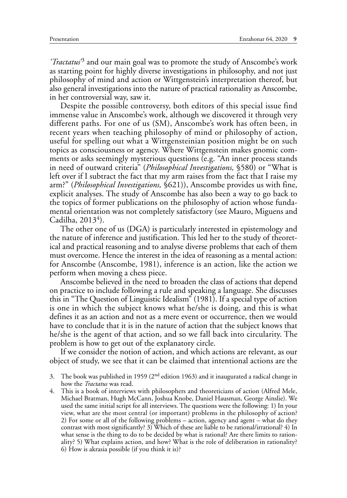*'Tractatus'*3 and our main goal was to promote the study of Anscombe's work as starting point for highly diverse investigations in philosophy, and not just philosophy of mind and action or Wittgenstein's interpretation thereof, but also general investigations into the nature of practical rationality as Anscombe, in her controversial way, saw it.

Despite the possible controversy, both editors of this special issue find immense value in Anscombe's work, although we discovered it through very different paths. For one of us (SM), Anscombe's work has often been, in recent years when teaching philosophy of mind or philosophy of action, useful for spelling out what a Wittgensteinian position might be on such topics as consciousness or agency. Where Wittgenstein makes gnomic comments or asks seemingly mysterious questions (e.g. "An inner process stands in need of outward criteria" (*Philosophical Investigations,* §580) or "What is left over if I subtract the fact that my arm raises from the fact that I raise my arm?" (*Philosophical Investigations,* §621)), Anscombe provides us with fine, explicit analyses. The study of Anscombe has also been a way to go back to the topics of former publications on the philosophy of action whose fundamental orientation was not completely satisfactory (see Mauro, Miguens and Cadilha,  $2013<sup>4</sup>$ ).

The other one of us (DGA) is particularly interested in epistemology and the nature of inference and justification. This led her to the study of theoretical and practical reasoning and to analyse diverse problems that each of them must overcome. Hence the interest in the idea of reasoning as a mental action: for Anscombe (Anscombe, 1981), inference is an action, like the action we perform when moving a chess piece.

Anscombe believed in the need to broaden the class of actions that depend on practice to include following a rule and speaking a language. She discusses this in "The Question of Linguistic Idealism" (1981). If a special type of action is one in which the subject knows what he/she is doing, and this is what defines it as an action and not as a mere event or occurrence, then we would have to conclude that it is in the nature of action that the subject knows that he/she is the agent of that action, and so we fall back into circularity. The problem is how to get out of the explanatory circle.

If we consider the notion of action, and which actions are relevant, as our object of study, we see that it can be claimed that intentional actions are the

- 3. The book was published in 1959 (2<sup>nd</sup> edition 1963) and it inaugurated a radical change in how the *Tractatus* was read.
- 4. This is a book of interviews with philosophers and theoreticians of action (Alfred Mele, Michael Bratman, Hugh McCann, Joshua Knobe, Daniel Hausman, George Ainslie). We used the same initial script for all interviews. The questions were the following: 1) In your view, what are the most central (or important) problems in the philosophy of action? 2) For some or all of the following problems – action, agency and agent – what do they contrast with most significantly? 3) Which of these are liable to be rational/irrational? 4) In what sense is the thing to do to be decided by what is rational? Are there limits to rationality? 5) What explains action, and how? What is the role of deliberation in rationality? 6) How is akrasia possible (if you think it is)?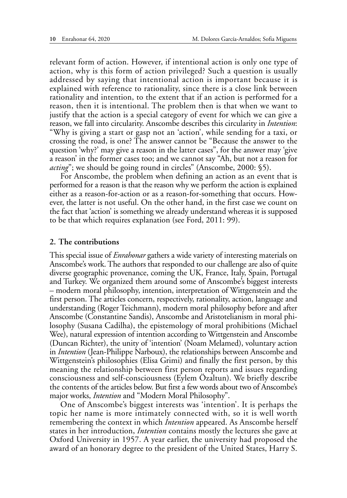relevant form of action. However, if intentional action is only one type of action, why is this form of action privileged? Such a question is usually addressed by saying that intentional action is important because it is explained with reference to rationality, since there is a close link between rationality and intention, to the extent that if an action is performed for a reason, then it is intentional. The problem then is that when we want to justify that the action is a special category of event for which we can give a reason, we fall into circularity. Anscombe describes this circularity in *Intention*: "Why is giving a start or gasp not an 'action', while sending for a taxi, or crossing the road, is one? The answer cannot be "Because the answer to the question 'why?' may give a reason in the latter cases", for the answer may 'give a reason' in the former cases too; and we cannot say "Ah, but not a reason for *acting*"; we should be going round in circles" (Anscombe, 2000: §5).

For Anscombe, the problem when defining an action as an event that is performed for a reason is that the reason why we perform the action is explained either as a reason-for-action or as a reason-for-something that occurs. However, the latter is not useful. On the other hand, in the first case we count on the fact that 'action' is something we already understand whereas it is supposed to be that which requires explanation (see Ford, 2011: 99).

## **2. The contributions**

This special issue of *Enrahonar* gathers a wide variety of interesting materials on Anscombe's work. The authors that responded to our challenge are also of quite diverse geographic provenance, coming the UK, France, Italy, Spain, Portugal and Turkey. We organized them around some of Anscombe's biggest interests – modern moral philosophy, intention, interpretation of Wittgenstein and the first person. The articles concern, respectively, rationality, action, language and understanding (Roger Teichmann), modern moral philosophy before and after Anscombe (Constantine Sandis), Anscombe and Aristotelianism in moral philosophy (Susana Cadilha), the epistemology of moral prohibitions (Michael Wee), natural expression of intention according to Wittgenstein and Anscombe (Duncan Richter), the unity of 'intention' (Noam Melamed), voluntary action in *Intention* (Jean-Philippe Narboux), the relationships between Anscombe and Wittgenstein's philosophies (Elisa Grimi) and finally the first person, by this meaning the relationship between first person reports and issues regarding consciousness and self-consciousness (Eylem Özaltun). We briefly describe the contents of the articles below. But first a few words about two of Anscombe's major works, *Intention* and "Modern Moral Philosophy".

One of Anscombe's biggest interests was 'intention'. It is perhaps the topic her name is more intimately connected with, so it is well worth remembering the context in which *Intention* appeared. As Anscombe herself states in her introduction, *Intention* contains mostly the lectures she gave at Oxford University in 1957. A year earlier, the university had proposed the award of an honorary degree to the president of the United States, Harry S.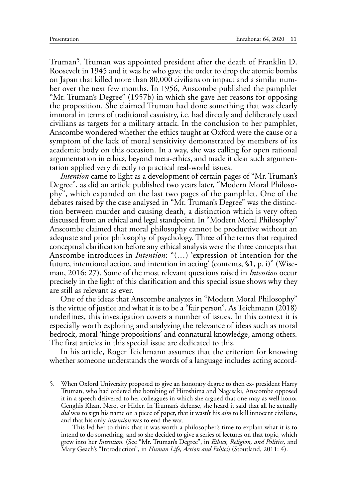Truman<sup>5</sup>. Truman was appointed president after the death of Franklin D. Roosevelt in 1945 and it was he who gave the order to drop the atomic bombs on Japan that killed more than 80,000 civilians on impact and a similar number over the next few months. In 1956, Anscombe published the pamphlet "Mr. Truman's Degree" (1957b) in which she gave her reasons for opposing the proposition. She claimed Truman had done something that was clearly immoral in terms of traditional casuistry, i.e. had directly and deliberately used civilians as targets for a military attack. In the conclusion to her pamphlet, Anscombe wondered whether the ethics taught at Oxford were the cause or a symptom of the lack of moral sensitivity demonstrated by members of its academic body on this occasion. In a way, she was calling for open rational argumentation in ethics, beyond meta-ethics, and made it clear such argumentation applied very directly to practical real-world issues.

*Intention* came to light as a development of certain pages of "Mr. Truman's Degree", as did an article published two years later, "Modern Moral Philosophy", which expanded on the last two pages of the pamphlet. One of the debates raised by the case analysed in "Mr. Truman's Degree" was the distinction between murder and causing death, a distinction which is very often discussed from an ethical and legal standpoint. In "Modern Moral Philosophy" Anscombe claimed that moral philosophy cannot be productive without an adequate and prior philosophy of psychology. Three of the terms that required conceptual clarification before any ethical analysis were the three concepts that Anscombe introduces in *Intention*: "(…) 'expression of intention for the future, intentional action, and intention in acting' (contents, §1, p. i)" (Wiseman, 2016: 27). Some of the most relevant questions raised in *Intention* occur precisely in the light of this clarification and this special issue shows why they are still as relevant as ever.

One of the ideas that Anscombe analyzes in "Modern Moral Philosophy" is the virtue of justice and what it is to be a "fair person". As Teichmann (2018) underlines, this investigation covers a number of issues. In this context it is especially worth exploring and analyzing the relevance of ideas such as moral bedrock, moral 'hinge propositions' and connatural knowledge, among others. The first articles in this special issue are dedicated to this.

In his article, Roger Teichmann assumes that the criterion for knowing whether someone understands the words of a language includes acting accord-

5. When Oxford University proposed to give an honorary degree to then ex- president Harry Truman, who had ordered the bombing of Hiroshima and Nagasaki, Anscombe opposed it in a speech delivered to her colleagues in which she argued that one may as well honor Genghis Khan, Nero, or Hitler. In Truman's defense, she heard it said that all he actually *did* was to sign his name on a piece of paper, that it wasn't his *aim* to kill innocent civilians, and that his only *intention* was to end the war.

This led her to think that it was worth a philosopher's time to explain what it is to intend to do something, and so she decided to give a series of lectures on that topic, which grew into her *Intention.* (See "Mr. Truman's Degree", in *Ethics, Religion, and Politics,* and Mary Geach's "Introduction", in *Human Life, Action and Ethics*) (Stoutland, 2011: 4).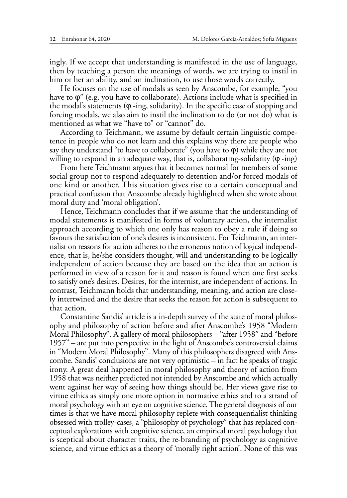ingly. If we accept that understanding is manifested in the use of language, then by teaching a person the meanings of words, we are trying to instil in him or her an ability, and an inclination, to use those words correctly.

He focuses on the use of modals as seen by Anscombe, for example, "you have to  $\varphi$ " (e.g. you have to collaborate). Actions include what is specified in the modal's statements (ϕ -ing, solidarity). In the specific case of stopping and forcing modals, we also aim to instil the inclination to do (or not do) what is mentioned as what we "have to" or "cannot" do.

According to Teichmann, we assume by default certain linguistic competence in people who do not learn and this explains why there are people who say they understand "to have to collaborate" (you have to  $\varphi$ ) while they are not willing to respond in an adequate way, that is, collaborating-solidarity (ϕ -ing)

From here Teichmann argues that it becomes normal for members of some social group not to respond adequately to detention and/or forced modals of one kind or another. This situation gives rise to a certain conceptual and practical confusion that Anscombe already highlighted when she wrote about moral duty and 'moral obligation'.

Hence, Teichmann concludes that if we assume that the understanding of modal statements is manifested in forms of voluntary action, the internalist approach according to which one only has reason to obey a rule if doing so favours the satisfaction of one's desires is inconsistent. For Teichmann, an internalist on reasons for action adheres to the erroneous notion of logical independence, that is, he/she considers thought, will and understanding to be logically independent of action because they are based on the idea that an action is performed in view of a reason for it and reason is found when one first seeks to satisfy one's desires. Desires, for the internist, are independent of actions. In contrast, Teichmann holds that understanding, meaning, and action are closely intertwined and the desire that seeks the reason for action is subsequent to that action.

Constantine Sandis' article is a in-depth survey of the state of moral philosophy and philosophy of action before and after Anscombe's 1958 "Modern Moral Philosophy". A gallery of moral philosophers – "after 1958" and "before 1957" – are put into perspective in the light of Anscombe's controversial claims in "Modern Moral Philosophy". Many of this philosophers disagreed with Anscombe. Sandis' conclusions are not very optimistic – in fact he speaks of tragic irony. A great deal happened in moral philosophy and theory of action from 1958 that was neither predicted not intended by Anscombe and which actually went against her way of seeing how things should be. Her views gave rise to virtue ethics as simply one more option in normative ethics and to a strand of moral psychology with an eye on cognitive science. The general diagnosis of our times is that we have moral philosophy replete with consequentialist thinking obsessed with trolley-cases, a "philosophy of psychology" that has replaced conceptual explorations with cognitive science, an empirical moral psychology that is sceptical about character traits, the re-branding of psychology as cognitive science, and virtue ethics as a theory of 'morally right action'. None of this was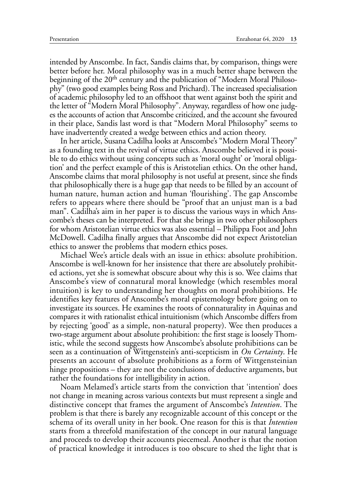intended by Anscombe. In fact, Sandis claims that, by comparison, things were better before her. Moral philosophy was in a much better shape between the beginning of the 20<sup>th</sup> century and the publication of "Modern Moral Philosophy" (two good examples being Ross and Prichard). The increased specialisation of academic philosophy led to an offshoot that went against both the spirit and the letter of "Modern Moral Philosophy". Anyway, regardless of how one judges the accounts of action that Anscombe criticized, and the account she favoured in their place, Sandis last word is that "Modern Moral Philosophy" seems to have inadvertently created a wedge between ethics and action theory.

In her article, Susana Cadilha looks at Anscombe's "Modern Moral Theory" as a founding text in the revival of virtue ethics. Anscombe believed it is possible to do ethics without using concepts such as 'moral ought' or 'moral obligation' and the perfect example of this is Aristotelian ethics. On the other hand, Anscombe claims that moral philosophy is not useful at present, since she finds that philosophically there is a huge gap that needs to be filled by an account of human nature, human action and human 'flourishing'. The gap Anscombe refers to appears where there should be "proof that an unjust man is a bad man". Cadilha's aim in her paper is to discuss the various ways in which Anscombe's theses can be interpreted. For that she brings in two other philosophers for whom Aristotelian virtue ethics was also essential – Philippa Foot and John McDowell. Cadilha finally argues that Anscombe did not expect Aristotelian ethics to answer the problems that modern ethics poses.

Michael Wee's article deals with an issue in ethics: absolute prohibition. Anscombe is well-known for her insistence that there are absolutely prohibited actions, yet she is somewhat obscure about why this is so. Wee claims that Anscombe's view of connatural moral knowledge (which resembles moral intuition) is key to understanding her thoughts on moral prohibitions. He identifies key features of Anscombe's moral epistemology before going on to investigate its sources. He examines the roots of connaturality in Aquinas and compares it with rationalist ethical intuitionism (which Anscombe differs from by rejecting 'good' as a simple, non-natural property). Wee then produces a two-stage argument about absolute prohibition: the first stage is loosely Thomistic, while the second suggests how Anscombe's absolute prohibitions can be seen as a continuation of Wittgenstein's anti-scepticism in *On Certainty*. He presents an account of absolute prohibitions as a form of Wittgensteinian hinge propositions – they are not the conclusions of deductive arguments, but rather the foundations for intelligibility in action.

Noam Melamed's article starts from the conviction that 'intention' does not change in meaning across various contexts but must represent a single and distinctive concept that frames the argument of Anscombe's *Intention*. The problem is that there is barely any recognizable account of this concept or the schema of its overall unity in her book. One reason for this is that *Intention* starts from a threefold manifestation of the concept in our natural language and proceeds to develop their accounts piecemeal. Another is that the notion of practical knowledge it introduces is too obscure to shed the light that is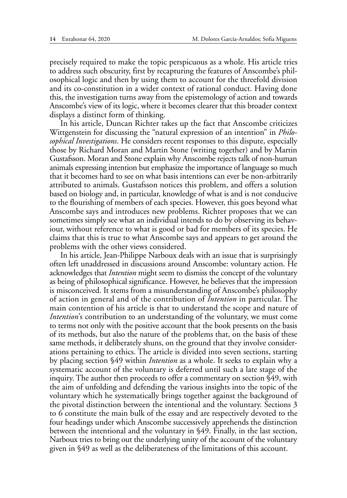precisely required to make the topic perspicuous as a whole. His article tries to address such obscurity, first by recapturing the features of Anscombe's philosophical logic and then by using them to account for the threefold division and its co-constitution in a wider context of rational conduct. Having done this, the investigation turns away from the epistemology of action and towards Anscombe's view of its logic, where it becomes clearer that this broader context displays a distinct form of thinking.

In his article, Duncan Richter takes up the fact that Anscombe criticizes Wittgenstein for discussing the "natural expression of an intention" in *Philosophical Investigations*. He considers recent responses to this dispute, especially those by Richard Moran and Martin Stone (writing together) and by Martin Gustafsson. Moran and Stone explain why Anscombe rejects talk of non-human animals expressing intention but emphasize the importance of language so much that it becomes hard to see on what basis intentions can ever be non-arbitrarily attributed to animals. Gustafsson notices this problem, and offers a solution based on biology and, in particular, knowledge of what is and is not conducive to the flourishing of members of each species. However, this goes beyond what Anscombe says and introduces new problems. Richter proposes that we can sometimes simply see what an individual intends to do by observing its behaviour, without reference to what is good or bad for members of its species. He claims that this is true to what Anscombe says and appears to get around the problems with the other views considered.

In his article, Jean-Philippe Narboux deals with an issue that is surprisingly often left unaddressed in discussions around Anscombe: voluntary action. He acknowledges that *Intention* might seem to dismiss the concept of the voluntary as being of philosophical significance. However, he believes that the impression is misconceived. It stems from a misunderstanding of Anscombe's philosophy of action in general and of the contribution of *Intention* in particular. The main contention of his article is that to understand the scope and nature of *Intention*'s contribution to an understanding of the voluntary, we must come to terms not only with the positive account that the book presents on the basis of its methods, but also the nature of the problems that, on the basis of these same methods, it deliberately shuns, on the ground that they involve considerations pertaining to ethics. The article is divided into seven sections, starting by placing section §49 within *Intention* as a whole. It seeks to explain why a systematic account of the voluntary is deferred until such a late stage of the inquiry. The author then proceeds to offer a commentary on section §49, with the aim of unfolding and defending the various insights into the topic of the voluntary which he systematically brings together against the background of the pivotal distinction between the intentional and the voluntary. Sections 3 to 6 constitute the main bulk of the essay and are respectively devoted to the four headings under which Anscombe successively apprehends the distinction between the intentional and the voluntary in §49. Finally, in the last section, Narboux tries to bring out the underlying unity of the account of the voluntary given in §49 as well as the deliberateness of the limitations of this account.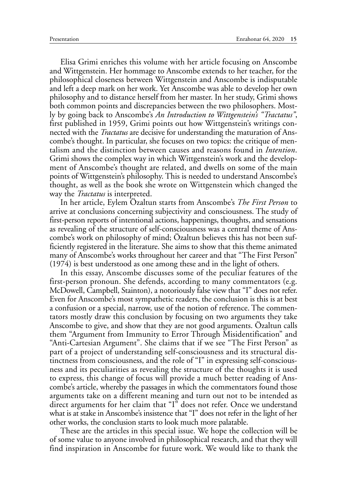Elisa Grimi enriches this volume with her article focusing on Anscombe and Wittgenstein. Her hommage to Anscombe extends to her teacher, for the philosophical closeness between Wittgenstein and Anscombe is indisputable and left a deep mark on her work. Yet Anscombe was able to develop her own philosophy and to distance herself from her master. In her study, Grimi shows both common points and discrepancies between the two philosophers. Mostly by going back to Anscombe's *An Introduction to Wittgenstein's "Tractatus"*, first published in 1959, Grimi points out how Wittgenstein's writings connected with the *Tractatus* are decisive for understanding the maturation of Anscombe's thought. In particular, she focuses on two topics: the critique of mentalism and the distinction between causes and reasons found in *Intention*. Grimi shows the complex way in which Wittgenstein's work and the development of Anscombe's thought are related, and dwells on some of the main points of Wittgenstein's philosophy. This is needed to understand Anscombe's thought, as well as the book she wrote on Wittgenstein which changed the way the *Tractatus* is interpreted.

In her article, Eylem Özaltun starts from Anscombe's *The First Person* to arrive at conclusions concerning subjectivity and consciousness. The study of first-person reports of intentional actions, happenings, thoughts, and sensations as revealing of the structure of self-consciousness was a central theme of Anscombe's work on philosophy of mind; Özaltun believes this has not been sufficiently registered in the literature. She aims to show that this theme animated many of Anscombe's works throughout her career and that "The First Person" (1974) is best understood as one among these and in the light of others.

In this essay, Anscombe discusses some of the peculiar features of the first-person pronoun. She defends, according to many commentators (e.g. McDowell, Campbell, Stainton), a notoriously false view that "I" does not refer. Even for Anscombe's most sympathetic readers, the conclusion is this is at best a confusion or a special, narrow, use of the notion of reference. The commentators mostly draw this conclusion by focusing on two arguments they take Anscombe to give, and show that they are not good arguments. Özaltun calls them "Argument from Immunity to Error Through Misidentification" and "Anti-Cartesian Argument". She claims that if we see "The First Person" as part of a project of understanding self-consciousness and its structural distinctness from consciousness, and the role of "I" in expressing self-consciousness and its peculiarities as revealing the structure of the thoughts it is used to express, this change of focus will provide a much better reading of Anscombe's article, whereby the passages in which the commentators found those arguments take on a different meaning and turn out not to be intended as direct arguments for her claim that "I" does not refer. Once we understand what is at stake in Anscombe's insistence that "I" does not refer in the light of her other works, the conclusion starts to look much more palatable.

These are the articles in this special issue. We hope the collection will be of some value to anyone involved in philosophical research, and that they will find inspiration in Anscombe for future work. We would like to thank the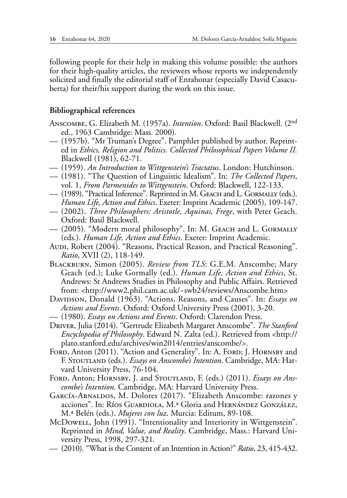following people for their help in making this volume possible: the authors for their high-quality articles, the reviewers whose reports we independently solicited and finally the editorial staff of Enrahonar (especially David Casacuberta) for their/his support during the work on this issue.

## **Bibliographical references**

Anscombe, G. Elizabeth M. (1957a). *Intention*. Oxford: Basil Blackwell. (2nd ed., 1963 Cambridge: Mass. 2000).

- (1957b). "Mr Truman's Degree". Pamphlet published by author. Reprinted in *Ethics, Religion and Politics. Collected Philosophical Papers Volume II.*  Blackwell (1981), 62-71.
- (1959). *An Introduction to Wittgenstein's Tractatus*. London: Hutchinson.
- (1981). "The Question of Linguistic Idealism". In: *The Collected Papers*, vol. 1, *From Parmenides to Wittgenstein*. Oxford: Blackwell, 122-133.
- (1989). "Practical Inference". Reprinted in M. Geach and L. Gormally (eds.). *Human Life, Action and Ethics*. Exeter: Imprint Academic (2005), 109-147.
- (2002). *Three Philosophers: Aristotle, Aquinas, Frege*, with Peter Geach. Oxford: Basil Blackwell.
- (2005). "Modern moral philosophy". In: M. Geach and L. Gormally (eds.). *Human Life, Action and Ethics*. Exeter: Imprint Academic.
- Audi, Robert (2004). "Reasons, Practical Reason, and Practical Reasoning". *Ratio*, XVII (2), 118-149.
- Blackburn, Simon (2005). *Review from TLS*: G.E.M. Anscombe; Mary Geach (ed.); Luke Gormally (ed.). *Human Life, Action and Ethics*, St. Andrews: St Andrews Studies in Philosophy and Public Affairs. Retrieved from: <<http://www2.phil.cam.ac.uk/~swb24/reviews/Anscombe.htm>>
- Davipson, Donald (1963). "Actions, Reasons, and Causes". In: *Essays on Actions and Events*. Oxford: Oxford University Press (2001), 3-20.
- (1980). *Essays on Actions and Events*. Oxford: Clarendon Press.
- Driver, Julia (2014). "Gertrude Elizabeth Margaret Anscombe". *The Stanford Encyclopedia of Philosophy*. Edward N. Zalta (ed.). Retrieved from <http:// plato.stanford.edu/archives/win2014/entries/anscombe/>.
- FORD, Anton (2011). "Action and Generality". In: A. FORD; J. HORNSBY and F. STOUTLAND (eds.). *Essays on Anscombe's Intention*. Cambridge, MA: Harvard University Press, 76-104.
- FORD, Anton; HORNSBY, J. and STOUTLAND, F. (eds.) (2011). *Essays on Anscombe's Intention*. Cambridge, MA: Harvard University Press.
- García-Arnaldos, M. Dolores (2017). "Elizabeth Anscombe: razones y acciones". In: Ríos Guardiola, M.ª Gloria and HERNÁNDEZ GONZÁLEZ, M.ª Belén (eds.). *Mujeres con luz*. Murcia: Editum, 89-108.
- McDowell, John (1991). "Intentionality and Interiority in Wittgenstein". Reprinted in *Mind, Value, and Reality*. Cambridge, Mass.: Harvard University Press, 1998, 297-321.
- (2010). "What is the Content of an Intention in Action?" *Ratio*, 23, 415-432.